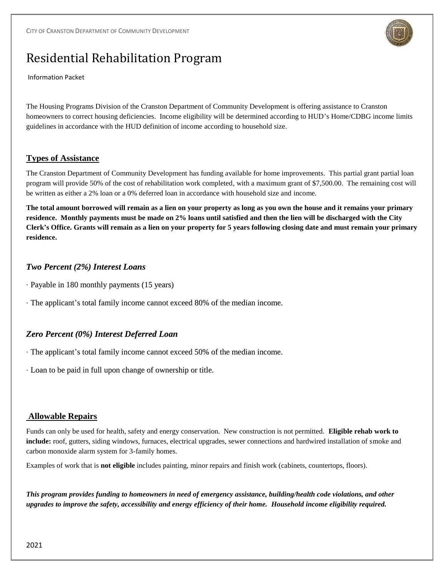

# Residential Rehabilitation Program

Information Packet

The Housing Programs Division of the Cranston Department of Community Development is offering assistance to Cranston homeowners to correct housing deficiencies. Income eligibility will be determined according to HUD's Home/CDBG income limits guidelines in accordance with the HUD definition of income according to household size.

#### **Types of Assistance**

The Cranston Department of Community Development has funding available for home improvements. This partial grant partial loan program will provide 50% of the cost of rehabilitation work completed, with a maximum grant of \$7,500.00. The remaining cost will be written as either a 2% loan or a 0% deferred loan in accordance with household size and income.

**The total amount borrowed will remain as a lien on your property as long as you own the house and it remains your primary residence. Monthly payments must be made on 2% loans until satisfied and then the lien will be discharged with the City Clerk's Office. Grants will remain as a lien on your property for 5 years following closing date and must remain your primary residence.** 

# *Two Percent (2%) Interest Loans*

- *·* Payable in 180 monthly payments (15 years)
- *·* The applicant's total family income cannot exceed 80% of the median income.

# *Zero Percent (0%) Interest Deferred Loan*

- *·* The applicant's total family income cannot exceed 50% of the median income.
- *·* Loan to be paid in full upon change of ownership or title.

#### **Allowable Repairs**

Funds can only be used for health, safety and energy conservation. New construction is not permitted. **Eligible rehab work to include:** roof, gutters, siding windows, furnaces, electrical upgrades, sewer connections and hardwired installation of smoke and carbon monoxide alarm system for 3-family homes.

Examples of work that is **not eligible** includes painting, minor repairs and finish work (cabinets, countertops, floors).

*This program provides funding to homeowners in need of emergency assistance, building/health code violations, and other upgrades to improve the safety, accessibility and energy efficiency of their home. Household income eligibility required.*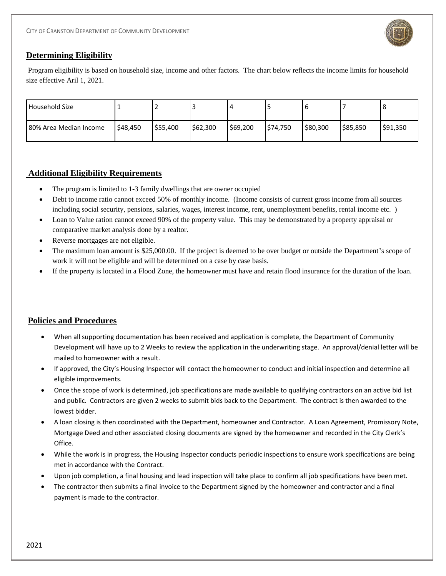

#### **Determining Eligibility**

Program eligibility is based on household size, income and other factors. The chart below reflects the income limits for household size effective Aril 1, 2021.

| Household Size         |          |          |          |          |          |          |          | 8        |
|------------------------|----------|----------|----------|----------|----------|----------|----------|----------|
| 80% Area Median Income | \$48,450 | \$55,400 | \$62,300 | \$69,200 | \$74,750 | \$80,300 | \$85,850 | \$91,350 |

## **Additional Eligibility Requirements**

- The program is limited to 1-3 family dwellings that are owner occupied
- Debt to income ratio cannot exceed 50% of monthly income. (Income consists of current gross income from all sources including social security, pensions, salaries, wages, interest income, rent, unemployment benefits, rental income etc. )
- Loan to Value ration cannot exceed 90% of the property value. This may be demonstrated by a property appraisal or comparative market analysis done by a realtor.
- Reverse mortgages are not eligible.
- The maximum loan amount is \$25,000.00. If the project is deemed to be over budget or outside the Department's scope of work it will not be eligible and will be determined on a case by case basis.
- If the property is located in a Flood Zone, the homeowner must have and retain flood insurance for the duration of the loan.

#### **Policies and Procedures**

- When all supporting documentation has been received and application is complete, the Department of Community Development will have up to 2 Weeks to review the application in the underwriting stage. An approval/denial letter will be mailed to homeowner with a result.
- If approved, the City's Housing Inspector will contact the homeowner to conduct and initial inspection and determine all eligible improvements.
- Once the scope of work is determined, job specifications are made available to qualifying contractors on an active bid list and public. Contractors are given 2 weeks to submit bids back to the Department. The contract is then awarded to the lowest bidder.
- A loan closing is then coordinated with the Department, homeowner and Contractor. A Loan Agreement, Promissory Note, Mortgage Deed and other associated closing documents are signed by the homeowner and recorded in the City Clerk's Office.
- While the work is in progress, the Housing Inspector conducts periodic inspections to ensure work specifications are being met in accordance with the Contract.
- Upon job completion, a final housing and lead inspection will take place to confirm all job specifications have been met.
- The contractor then submits a final invoice to the Department signed by the homeowner and contractor and a final payment is made to the contractor.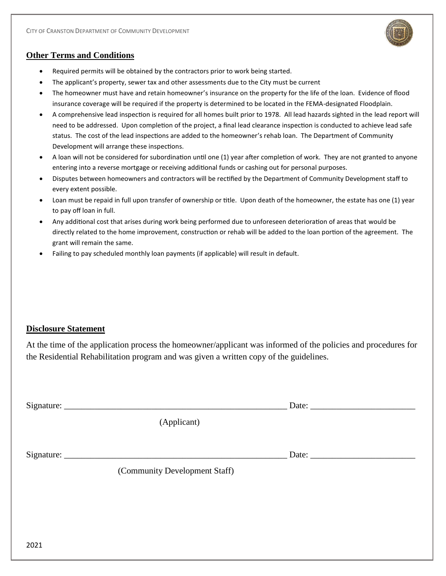

#### **Other Terms and Conditions**

- Required permits will be obtained by the contractors prior to work being started.
- The applicant's property, sewer tax and other assessments due to the City must be current
- The homeowner must have and retain homeowner's insurance on the property for the life of the loan. Evidence of flood insurance coverage will be required if the property is determined to be located in the FEMA-designated Floodplain.
- A comprehensive lead inspection is required for all homes built prior to 1978. All lead hazards sighted in the lead report will need to be addressed. Upon completion of the project, a final lead clearance inspection is conducted to achieve lead safe status. The cost of the lead inspections are added to the homeowner's rehab loan. The Department of Community Development will arrange these inspections.
- A loan will not be considered for subordination until one (1) year after completion of work. They are not granted to anyone entering into a reverse mortgage or receiving additional funds or cashing out for personal purposes.
- Disputes between homeowners and contractors will be rectified by the Department of Community Development staff to every extent possible.
- Loan must be repaid in full upon transfer of ownership or title. Upon death of the homeowner, the estate has one (1) year to pay off loan in full.
- Any additional cost that arises during work being performed due to unforeseen deterioration of areas that would be directly related to the home improvement, construction or rehab will be added to the loan portion of the agreement. The grant will remain the same.
- Failing to pay scheduled monthly loan payments (if applicable) will result in default.

#### **Disclosure Statement**

At the time of the application process the homeowner/applicant was informed of the policies and procedures for the Residential Rehabilitation program and was given a written copy of the guidelines.

|      | (Applicant)                   |  |
|------|-------------------------------|--|
|      |                               |  |
|      |                               |  |
|      | (Community Development Staff) |  |
|      |                               |  |
|      |                               |  |
|      |                               |  |
| 2021 |                               |  |